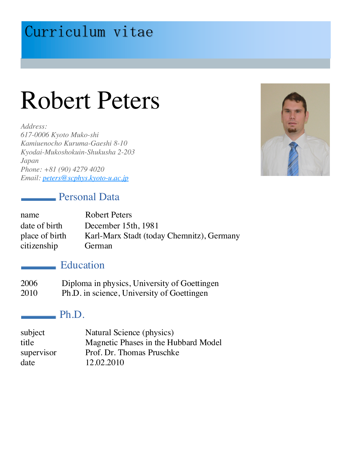# Curriculum vitae

# Robert Peters

*Address: 617-0006 Kyoto Muko-shi Kamiuenocho Kuruma-Gaeshi 8-10 Kyodai-Mukoshokuin-Shukusha 2-203 Japan Phone: +81 (90) 4279 4020 Email: peters@scphys.kyoto-u.ac.jp*



#### **Personal Data**

| name           | <b>Robert Peters</b>                      |
|----------------|-------------------------------------------|
| date of birth  | December 15th, 1981                       |
| place of birth | Karl-Marx Stadt (today Chemnitz), Germany |
| citizenship    | German                                    |

#### Education

| 2006        | Diploma in physics, University of Goettingen |
|-------------|----------------------------------------------|
| $\Omega$ 10 | $Db$ $Da$ soignes University of Coettings    |

2010 Ph.D. in science, University of Goettingen

#### $-$  Ph.D.

| subject    | Natural Science (physics)            |
|------------|--------------------------------------|
| title      | Magnetic Phases in the Hubbard Model |
| supervisor | Prof. Dr. Thomas Pruschke            |
| date       | 12.02.2010                           |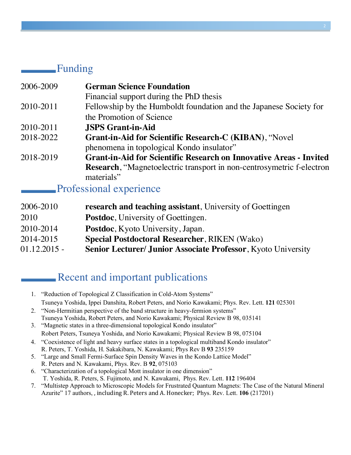#### Funding

| 2006-2009 | <b>German Science Foundation</b>                                          |
|-----------|---------------------------------------------------------------------------|
|           | Financial support during the PhD thesis                                   |
| 2010-2011 | Fellowship by the Humboldt foundation and the Japanese Society for        |
|           | the Promotion of Science                                                  |
| 2010-2011 | <b>JSPS Grant-in-Aid</b>                                                  |
| 2018-2022 | <b>Grant-in-Aid for Scientific Research-C (KIBAN), "Novel</b>             |
|           | phenomena in topological Kondo insulator"                                 |
| 2018-2019 | <b>Grant-in-Aid for Scientific Research on Innovative Areas - Invited</b> |
|           | Research, "Magnetoelectric transport in non-centrosymetric f-electron     |
|           | materials"                                                                |

#### Professional experience

| research and teaching assistant, University of Goettingen     |
|---------------------------------------------------------------|
| <b>Postdoc</b> , University of Goettingen.                    |
| <b>Postdoc</b> , Kyoto University, Japan.                     |
| <b>Special Postdoctoral Researcher, RIKEN (Wako)</b>          |
| Senior Lecturer/ Junior Associate Professor, Kyoto University |
|                                                               |

### Recent and important publications

- 1. "Reduction of Topological Z Classification in Cold-Atom Systems" Tsuneya Yoshida, Ippei Danshita, Robert Peters, and Norio Kawakami; Phys. Rev. Lett. **121** 025301 2. "Non-Hermitian perspective of the band structure in heavy-fermion systems"
- Tsuneya Yoshida, Robert Peters, and Norio Kawakami; Physical Review B 98, 035141
- 3. "Magnetic states in a three-dimensional topological Kondo insulator" Robert Peters, Tsuneya Yoshida, and Norio Kawakami; Physical Review B 98, 075104
- 4. "Coexistence of light and heavy surface states in a topological multiband Kondo insulator" R. Peters, T. Yoshida, H. Sakakibara, N. Kawakami; Phys Rev B **93** 235159
- 5. "Large and Small Fermi-Surface Spin Density Waves in the Kondo Lattice Model" R. Peters and N. Kawakami, Phys. Rev. B **92**, 075103
- 6. "Characterization of a topological Mott insulator in one dimension" T. Yoshida, R. Peters, S. Fujimoto, and N. Kawakami, Phys. Rev. Lett. **112** 196404
- 7. "Multistep Approach to Microscopic Models for Frustrated Quantum Magnets: The Case of the Natural Mineral Azurite" 17 authors, , including R. Peters and A. Honecker; Phys. Rev. Lett. 106 (217201)